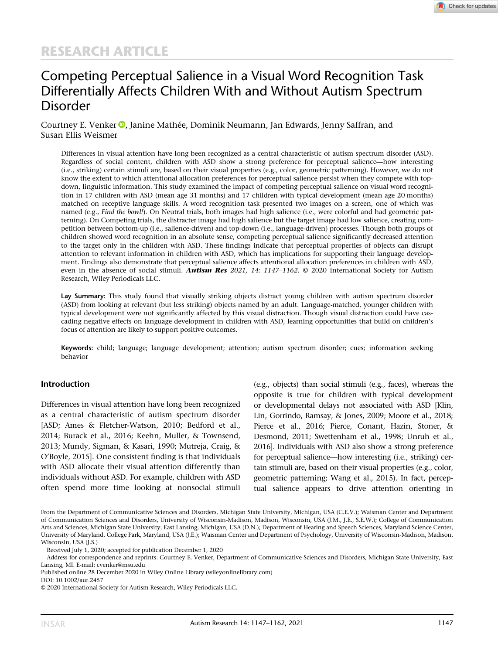# Competing Perceptual Salience in a Visual Word Recognition Task Differentially Affects Children With and Without Autism Spectrum Disorder

Courtney E. Venker <sup>(D</sup>)[,](https://orcid.org/0000-0002-5244-3634) Janine Mathée, Dominik Neumann, Jan Edwards, Jenny Saffran, and Susan Ellis Weismer

Differences in visual attention have long been recognized as a central characteristic of autism spectrum disorder (ASD). Regardless of social content, children with ASD show a strong preference for perceptual salience—how interesting (i.e., striking) certain stimuli are, based on their visual properties (e.g., color, geometric patterning). However, we do not know the extent to which attentional allocation preferences for perceptual salience persist when they compete with topdown, linguistic information. This study examined the impact of competing perceptual salience on visual word recognition in 17 children with ASD (mean age 31 months) and 17 children with typical development (mean age 20 months) matched on receptive language skills. A word recognition task presented two images on a screen, one of which was named (e.g., *Find the bowl!*). On Neutral trials, both images had high salience (i.e., were colorful and had geometric patterning). On Competing trials, the distracter image had high salience but the target image had low salience, creating competition between bottom-up (i.e., salience-driven) and top-down (i.e., language-driven) processes. Though both groups of children showed word recognition in an absolute sense, competing perceptual salience significantly decreased attention to the target only in the children with ASD. These findings indicate that perceptual properties of objects can disrupt attention to relevant information in children with ASD, which has implications for supporting their language development. Findings also demonstrate that perceptual salience affects attentional allocation preferences in children with ASD, even in the absence of social stimuli. **Autism Res** 2021, 14: 1147–1162. © 2020 International Society for Autism Research, Wiley Periodicals LLC.

Lay Summary: This study found that visually striking objects distract young children with autism spectrum disorder (ASD) from looking at relevant (but less striking) objects named by an adult. Language-matched, younger children with typical development were not significantly affected by this visual distraction. Though visual distraction could have cascading negative effects on language development in children with ASD, learning opportunities that build on children's focus of attention are likely to support positive outcomes.

Keywords: child; language; language development; attention; autism spectrum disorder; cues; information seeking behavior

#### Introduction

Differences in visual attention have long been recognized as a central characteristic of autism spectrum disorder [ASD; Ames & Fletcher-Watson, 2010; Bedford et al., 2014; Burack et al., 2016; Keehn, Muller, & Townsend, 2013; Mundy, Sigman, & Kasari, 1990; Mutreja, Craig, & O'Boyle, 2015]. One consistent finding is that individuals with ASD allocate their visual attention differently than individuals without ASD. For example, children with ASD often spend more time looking at nonsocial stimuli

(e.g., objects) than social stimuli (e.g., faces), whereas the opposite is true for children with typical development or developmental delays not associated with ASD [Klin, Lin, Gorrindo, Ramsay, & Jones, 2009; Moore et al., 2018; Pierce et al., 2016; Pierce, Conant, Hazin, Stoner, & Desmond, 2011; Swettenham et al., 1998; Unruh et al., 2016]. Individuals with ASD also show a strong preference for perceptual salience—how interesting (i.e., striking) certain stimuli are, based on their visual properties (e.g., color, geometric patterning; Wang et al., 2015). In fact, perceptual salience appears to drive attention orienting in

From the Department of Communicative Sciences and Disorders, Michigan State University, Michigan, USA (C.E.V.); Waisman Center and Department of Communication Sciences and Disorders, University of Wisconsin-Madison, Madison, Wisconsin, USA (J.M., J.E., S.E.W.); College of Communication Arts and Sciences, Michigan State University, East Lansing, Michigan, USA (D.N.); Department of Hearing and Speech Sciences, Maryland Science Center, University of Maryland, College Park, Maryland, USA (J.E.); Waisman Center and Department of Psychology, University of Wisconsin-Madison, Madison, Wisconsin, USA (J.S.)

Address for correspondence and reprints: Courtney E. Venker, Department of Communicative Sciences and Disorders, Michigan State University, East Lansing, MI. E-mail: [cvenker@msu.edu](mailto:cvenker@msu.edu)

Published online 28 December 2020 in Wiley Online Library (wileyonlinelibrary.com)

DOI: 10.1002/aur.2457

Received July 1, 2020; accepted for publication December 1, 2020

<sup>© 2020</sup> International Society for Autism Research, Wiley Periodicals LLC.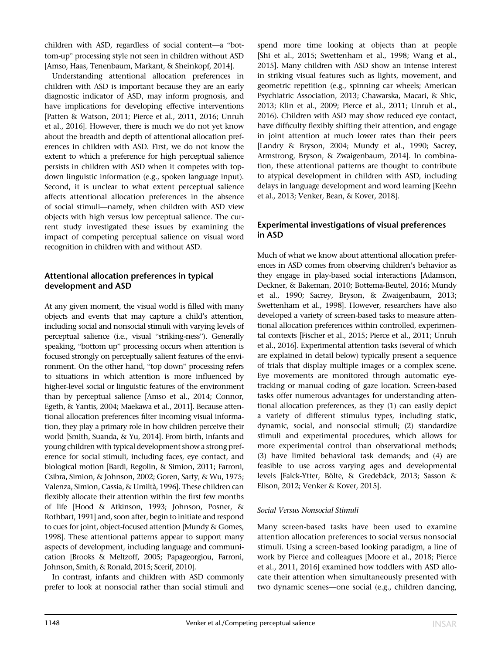children with ASD, regardless of social content—a "bottom-up" processing style not seen in children without ASD [Amso, Haas, Tenenbaum, Markant, & Sheinkopf, 2014].

Understanding attentional allocation preferences in children with ASD is important because they are an early diagnostic indicator of ASD, may inform prognosis, and have implications for developing effective interventions [Patten & Watson, 2011; Pierce et al., 2011, 2016; Unruh et al., 2016]. However, there is much we do not yet know about the breadth and depth of attentional allocation preferences in children with ASD. First, we do not know the extent to which a preference for high perceptual salience persists in children with ASD when it competes with topdown linguistic information (e.g., spoken language input). Second, it is unclear to what extent perceptual salience affects attentional allocation preferences in the absence of social stimuli—namely, when children with ASD view objects with high versus low perceptual salience. The current study investigated these issues by examining the impact of competing perceptual salience on visual word recognition in children with and without ASD.

### Attentional allocation preferences in typical development and ASD

At any given moment, the visual world is filled with many objects and events that may capture a child's attention, including social and nonsocial stimuli with varying levels of perceptual salience (i.e., visual "striking-ness"). Generally speaking, "bottom up" processing occurs when attention is focused strongly on perceptually salient features of the environment. On the other hand, "top down" processing refers to situations in which attention is more influenced by higher-level social or linguistic features of the environment than by perceptual salience [Amso et al., 2014; Connor, Egeth, & Yantis, 2004; Maekawa et al., 2011]. Because attentional allocation preferences filter incoming visual information, they play a primary role in how children perceive their world [Smith, Suanda, & Yu, 2014]. From birth, infants and young children with typical development show a strong preference for social stimuli, including faces, eye contact, and biological motion [Bardi, Regolin, & Simion, 2011; Farroni, Csibra, Simion, & Johnson, 2002; Goren, Sarty, & Wu, 1975; Valenza, Simion, Cassia, & Umiltà, 1996]. These children can flexibly allocate their attention within the first few months of life [Hood & Atkinson, 1993; Johnson, Posner, & Rothbart, 1991] and, soon after, begin to initiate and respond to cues for joint, object-focused attention [Mundy & Gomes, 1998]. These attentional patterns appear to support many aspects of development, including language and communication [Brooks & Meltzoff, 2005; Papageorgiou, Farroni, Johnson, Smith, & Ronald, 2015; Scerif, 2010].

In contrast, infants and children with ASD commonly prefer to look at nonsocial rather than social stimuli and spend more time looking at objects than at people [Shi et al., 2015; Swettenham et al., 1998; Wang et al., 2015]. Many children with ASD show an intense interest in striking visual features such as lights, movement, and geometric repetition (e.g., spinning car wheels; American Psychiatric Association, 2013; Chawarska, Macari, & Shic, 2013; Klin et al., 2009; Pierce et al., 2011; Unruh et al., 2016). Children with ASD may show reduced eye contact, have difficulty flexibly shifting their attention, and engage in joint attention at much lower rates than their peers [Landry & Bryson, 2004; Mundy et al., 1990; Sacrey, Armstrong, Bryson, & Zwaigenbaum, 2014]. In combination, these attentional patterns are thought to contribute to atypical development in children with ASD, including delays in language development and word learning [Keehn et al., 2013; Venker, Bean, & Kover, 2018].

## Experimental investigations of visual preferences in ASD

Much of what we know about attentional allocation preferences in ASD comes from observing children's behavior as they engage in play-based social interactions [Adamson, Deckner, & Bakeman, 2010; Bottema-Beutel, 2016; Mundy et al., 1990; Sacrey, Bryson, & Zwaigenbaum, 2013; Swettenham et al., 1998]. However, researchers have also developed a variety of screen-based tasks to measure attentional allocation preferences within controlled, experimental contexts [Fischer et al., 2015; Pierce et al., 2011; Unruh et al., 2016]. Experimental attention tasks (several of which are explained in detail below) typically present a sequence of trials that display multiple images or a complex scene. Eye movements are monitored through automatic eyetracking or manual coding of gaze location. Screen-based tasks offer numerous advantages for understanding attentional allocation preferences, as they (1) can easily depict a variety of different stimulus types, including static, dynamic, social, and nonsocial stimuli; (2) standardize stimuli and experimental procedures, which allows for more experimental control than observational methods; (3) have limited behavioral task demands; and (4) are feasible to use across varying ages and developmental levels [Falck-Ytter, Bölte, & Gredebäck, 2013; Sasson & Elison, 2012; Venker & Kover, 2015].

#### Social Versus Nonsocial Stimuli

Many screen-based tasks have been used to examine attention allocation preferences to social versus nonsocial stimuli. Using a screen-based looking paradigm, a line of work by Pierce and colleagues [Moore et al., 2018; Pierce et al., 2011, 2016] examined how toddlers with ASD allocate their attention when simultaneously presented with two dynamic scenes—one social (e.g., children dancing,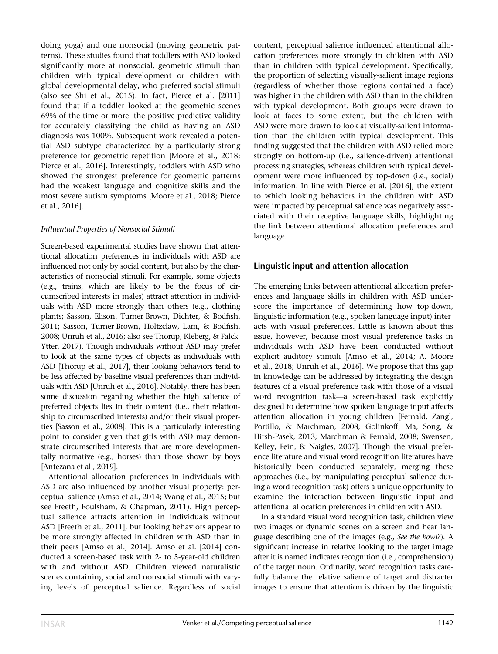doing yoga) and one nonsocial (moving geometric patterns). These studies found that toddlers with ASD looked significantly more at nonsocial, geometric stimuli than children with typical development or children with global developmental delay, who preferred social stimuli (also see Shi et al., 2015). In fact, Pierce et al. [2011] found that if a toddler looked at the geometric scenes 69% of the time or more, the positive predictive validity for accurately classifying the child as having an ASD diagnosis was 100%. Subsequent work revealed a potential ASD subtype characterized by a particularly strong preference for geometric repetition [Moore et al., 2018; Pierce et al., 2016]. Interestingly, toddlers with ASD who showed the strongest preference for geometric patterns had the weakest language and cognitive skills and the most severe autism symptoms [Moore et al., 2018; Pierce et al., 2016].

#### Influential Properties of Nonsocial Stimuli

Screen-based experimental studies have shown that attentional allocation preferences in individuals with ASD are influenced not only by social content, but also by the characteristics of nonsocial stimuli. For example, some objects (e.g., trains, which are likely to be the focus of circumscribed interests in males) attract attention in individuals with ASD more strongly than others (e.g., clothing plants; Sasson, Elison, Turner-Brown, Dichter, & Bodfish, 2011; Sasson, Turner-Brown, Holtzclaw, Lam, & Bodfish, 2008; Unruh et al., 2016; also see Thorup, Kleberg, & Falck-Ytter, 2017). Though individuals without ASD may prefer to look at the same types of objects as individuals with ASD [Thorup et al., 2017], their looking behaviors tend to be less affected by baseline visual preferences than individuals with ASD [Unruh et al., 2016]. Notably, there has been some discussion regarding whether the high salience of preferred objects lies in their content (i.e., their relationship to circumscribed interests) and/or their visual properties [Sasson et al., 2008]. This is a particularly interesting point to consider given that girls with ASD may demonstrate circumscribed interests that are more developmentally normative (e.g., horses) than those shown by boys [Antezana et al., 2019].

Attentional allocation preferences in individuals with ASD are also influenced by another visual property: perceptual salience (Amso et al., 2014; Wang et al., 2015; but see Freeth, Foulsham, & Chapman, 2011). High perceptual salience attracts attention in individuals without ASD [Freeth et al., 2011], but looking behaviors appear to be more strongly affected in children with ASD than in their peers [Amso et al., 2014]. Amso et al. [2014] conducted a screen-based task with 2- to 5-year-old children with and without ASD. Children viewed naturalistic scenes containing social and nonsocial stimuli with varying levels of perceptual salience. Regardless of social

content, perceptual salience influenced attentional allocation preferences more strongly in children with ASD than in children with typical development. Specifically, the proportion of selecting visually-salient image regions (regardless of whether those regions contained a face) was higher in the children with ASD than in the children with typical development. Both groups were drawn to look at faces to some extent, but the children with ASD were more drawn to look at visually-salient information than the children with typical development. This finding suggested that the children with ASD relied more strongly on bottom-up (i.e., salience-driven) attentional processing strategies, whereas children with typical development were more influenced by top-down (i.e., social) information. In line with Pierce et al. [2016], the extent to which looking behaviors in the children with ASD were impacted by perceptual salience was negatively associated with their receptive language skills, highlighting the link between attentional allocation preferences and language.

## Linguistic input and attention allocation

The emerging links between attentional allocation preferences and language skills in children with ASD underscore the importance of determining how top-down, linguistic information (e.g., spoken language input) interacts with visual preferences. Little is known about this issue, however, because most visual preference tasks in individuals with ASD have been conducted without explicit auditory stimuli [Amso et al., 2014; A. Moore et al., 2018; Unruh et al., 2016]. We propose that this gap in knowledge can be addressed by integrating the design features of a visual preference task with those of a visual word recognition task—a screen-based task explicitly designed to determine how spoken language input affects attention allocation in young children [Fernald, Zangl, Portillo, & Marchman, 2008; Golinkoff, Ma, Song, & Hirsh-Pasek, 2013; Marchman & Fernald, 2008; Swensen, Kelley, Fein, & Naigles, 2007]. Though the visual preference literature and visual word recognition literatures have historically been conducted separately, merging these approaches (i.e., by manipulating perceptual salience during a word recognition task) offers a unique opportunity to examine the interaction between linguistic input and attentional allocation preferences in children with ASD.

In a standard visual word recognition task, children view two images or dynamic scenes on a screen and hear language describing one of the images (e.g., See the bowl?). A significant increase in relative looking to the target image after it is named indicates recognition (i.e., comprehension) of the target noun. Ordinarily, word recognition tasks carefully balance the relative salience of target and distracter images to ensure that attention is driven by the linguistic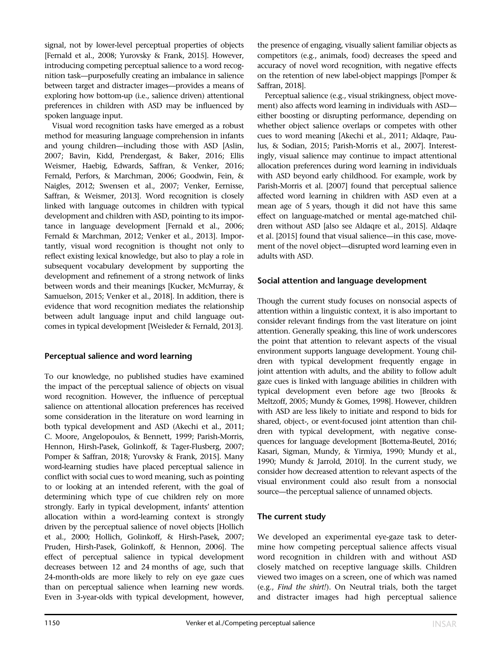signal, not by lower-level perceptual properties of objects [Fernald et al., 2008; Yurovsky & Frank, 2015]. However, introducing competing perceptual salience to a word recognition task—purposefully creating an imbalance in salience between target and distracter images—provides a means of exploring how bottom-up (i.e., salience driven) attentional preferences in children with ASD may be influenced by spoken language input.

Visual word recognition tasks have emerged as a robust method for measuring language comprehension in infants and young children—including those with ASD [Aslin, 2007; Bavin, Kidd, Prendergast, & Baker, 2016; Ellis Weismer, Haebig, Edwards, Saffran, & Venker, 2016; Fernald, Perfors, & Marchman, 2006; Goodwin, Fein, & Naigles, 2012; Swensen et al., 2007; Venker, Eernisse, Saffran, & Weismer, 2013]. Word recognition is closely linked with language outcomes in children with typical development and children with ASD, pointing to its importance in language development [Fernald et al., 2006; Fernald & Marchman, 2012; Venker et al., 2013]. Importantly, visual word recognition is thought not only to reflect existing lexical knowledge, but also to play a role in subsequent vocabulary development by supporting the development and refinement of a strong network of links between words and their meanings [Kucker, McMurray, & Samuelson, 2015; Venker et al., 2018]. In addition, there is evidence that word recognition mediates the relationship between adult language input and child language outcomes in typical development [Weisleder & Fernald, 2013].

## Perceptual salience and word learning

To our knowledge, no published studies have examined the impact of the perceptual salience of objects on visual word recognition. However, the influence of perceptual salience on attentional allocation preferences has received some consideration in the literature on word learning in both typical development and ASD (Akechi et al., 2011; C. Moore, Angelopoulos, & Bennett, 1999; Parish-Morris, Hennon, Hirsh-Pasek, Golinkoff, & Tager-Flusberg, 2007; Pomper & Saffran, 2018; Yurovsky & Frank, 2015]. Many word-learning studies have placed perceptual salience in conflict with social cues to word meaning, such as pointing to or looking at an intended referent, with the goal of determining which type of cue children rely on more strongly. Early in typical development, infants' attention allocation within a word-learning context is strongly driven by the perceptual salience of novel objects [Hollich et al., 2000; Hollich, Golinkoff, & Hirsh-Pasek, 2007; Pruden, Hirsh-Pasek, Golinkoff, & Hennon, 2006]. The effect of perceptual salience in typical development decreases between 12 and 24 months of age, such that 24-month-olds are more likely to rely on eye gaze cues than on perceptual salience when learning new words. Even in 3-year-olds with typical development, however,

the presence of engaging, visually salient familiar objects as competitors (e.g., animals, food) decreases the speed and accuracy of novel word recognition, with negative effects on the retention of new label-object mappings [Pomper & Saffran, 2018].

Perceptual salience (e.g., visual strikingness, object movement) also affects word learning in individuals with ASD either boosting or disrupting performance, depending on whether object salience overlaps or competes with other cues to word meaning [Akechi et al., 2011; Aldaqre, Paulus, & Sodian, 2015; Parish-Morris et al., 2007]. Interestingly, visual salience may continue to impact attentional allocation preferences during word learning in individuals with ASD beyond early childhood. For example, work by Parish-Morris et al. [2007] found that perceptual salience affected word learning in children with ASD even at a mean age of 5 years, though it did not have this same effect on language-matched or mental age-matched children without ASD [also see Aldaqre et al., 2015]. Aldaqre et al. [2015] found that visual salience—in this case, movement of the novel object—disrupted word learning even in adults with ASD.

## Social attention and language development

Though the current study focuses on nonsocial aspects of attention within a linguistic context, it is also important to consider relevant findings from the vast literature on joint attention. Generally speaking, this line of work underscores the point that attention to relevant aspects of the visual environment supports language development. Young children with typical development frequently engage in joint attention with adults, and the ability to follow adult gaze cues is linked with language abilities in children with typical development even before age two [Brooks & Meltzoff, 2005; Mundy & Gomes, 1998]. However, children with ASD are less likely to initiate and respond to bids for shared, object-, or event-focused joint attention than children with typical development, with negative consequences for language development [Bottema-Beutel, 2016; Kasari, Sigman, Mundy, & Yirmiya, 1990; Mundy et al., 1990; Mundy & Jarrold, 2010]. In the current study, we consider how decreased attention to relevant aspects of the visual environment could also result from a nonsocial source—the perceptual salience of unnamed objects.

## The current study

We developed an experimental eye-gaze task to determine how competing perceptual salience affects visual word recognition in children with and without ASD closely matched on receptive language skills. Children viewed two images on a screen, one of which was named (e.g., Find the shirt!). On Neutral trials, both the target and distracter images had high perceptual salience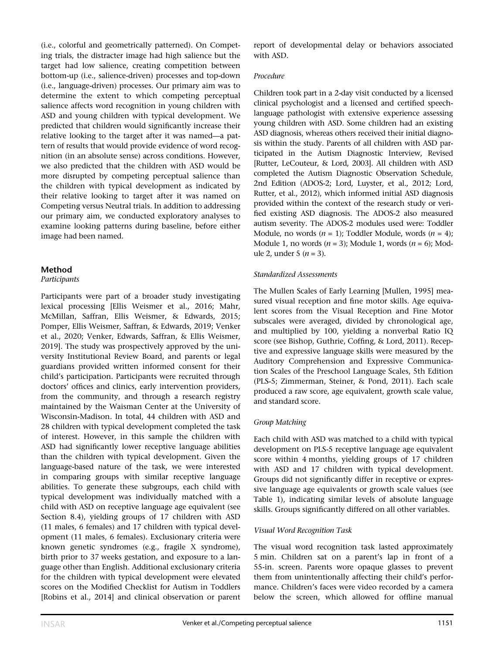(i.e., colorful and geometrically patterned). On Competing trials, the distracter image had high salience but the target had low salience, creating competition between bottom-up (i.e., salience-driven) processes and top-down (i.e., language-driven) processes. Our primary aim was to determine the extent to which competing perceptual salience affects word recognition in young children with ASD and young children with typical development. We predicted that children would significantly increase their relative looking to the target after it was named—a pattern of results that would provide evidence of word recognition (in an absolute sense) across conditions. However, we also predicted that the children with ASD would be more disrupted by competing perceptual salience than the children with typical development as indicated by their relative looking to target after it was named on Competing versus Neutral trials. In addition to addressing our primary aim, we conducted exploratory analyses to examine looking patterns during baseline, before either image had been named.

#### Method

#### Participants

Participants were part of a broader study investigating lexical processing [Ellis Weismer et al., 2016; Mahr, McMillan, Saffran, Ellis Weismer, & Edwards, 2015; Pomper, Ellis Weismer, Saffran, & Edwards, 2019; Venker et al., 2020; Venker, Edwards, Saffran, & Ellis Weismer, 2019]. The study was prospectively approved by the university Institutional Review Board, and parents or legal guardians provided written informed consent for their child's participation. Participants were recruited through doctors' offices and clinics, early intervention providers, from the community, and through a research registry maintained by the Waisman Center at the University of Wisconsin-Madison. In total, 44 children with ASD and 28 children with typical development completed the task of interest. However, in this sample the children with ASD had significantly lower receptive language abilities than the children with typical development. Given the language-based nature of the task, we were interested in comparing groups with similar receptive language abilities. To generate these subgroups, each child with typical development was individually matched with a child with ASD on receptive language age equivalent (see Section 8.4), yielding groups of 17 children with ASD (11 males, 6 females) and 17 children with typical development (11 males, 6 females). Exclusionary criteria were known genetic syndromes (e.g., fragile X syndrome), birth prior to 37 weeks gestation, and exposure to a language other than English. Additional exclusionary criteria for the children with typical development were elevated scores on the Modified Checklist for Autism in Toddlers [Robins et al., 2014] and clinical observation or parent

report of developmental delay or behaviors associated with ASD.

#### Procedure

Children took part in a 2-day visit conducted by a licensed clinical psychologist and a licensed and certified speechlanguage pathologist with extensive experience assessing young children with ASD. Some children had an existing ASD diagnosis, whereas others received their initial diagnosis within the study. Parents of all children with ASD participated in the Autism Diagnostic Interview, Revised [Rutter, LeCouteur, & Lord, 2003]. All children with ASD completed the Autism Diagnostic Observation Schedule, 2nd Edition (ADOS-2; Lord, Luyster, et al., 2012; Lord, Rutter, et al., 2012), which informed initial ASD diagnosis provided within the context of the research study or verified existing ASD diagnosis. The ADOS-2 also measured autism severity. The ADOS-2 modules used were: Toddler Module, no words  $(n = 1)$ ; Toddler Module, words  $(n = 4)$ ; Module 1, no words  $(n = 3)$ ; Module 1, words  $(n = 6)$ ; Module 2, under 5  $(n = 3)$ .

#### Standardized Assessments

The Mullen Scales of Early Learning [Mullen, 1995] measured visual reception and fine motor skills. Age equivalent scores from the Visual Reception and Fine Motor subscales were averaged, divided by chronological age, and multiplied by 100, yielding a nonverbal Ratio IQ score (see Bishop, Guthrie, Coffing, & Lord, 2011). Receptive and expressive language skills were measured by the Auditory Comprehension and Expressive Communication Scales of the Preschool Language Scales, 5th Edition (PLS-5; Zimmerman, Steiner, & Pond, 2011). Each scale produced a raw score, age equivalent, growth scale value, and standard score.

## Group Matching

Each child with ASD was matched to a child with typical development on PLS-5 receptive language age equivalent score within 4 months, yielding groups of 17 children with ASD and 17 children with typical development. Groups did not significantly differ in receptive or expressive language age equivalents or growth scale values (see Table 1), indicating similar levels of absolute language skills. Groups significantly differed on all other variables.

## Visual Word Recognition Task

The visual word recognition task lasted approximately 5 min. Children sat on a parent's lap in front of a 55-in. screen. Parents wore opaque glasses to prevent them from unintentionally affecting their child's performance. Children's faces were video recorded by a camera below the screen, which allowed for offline manual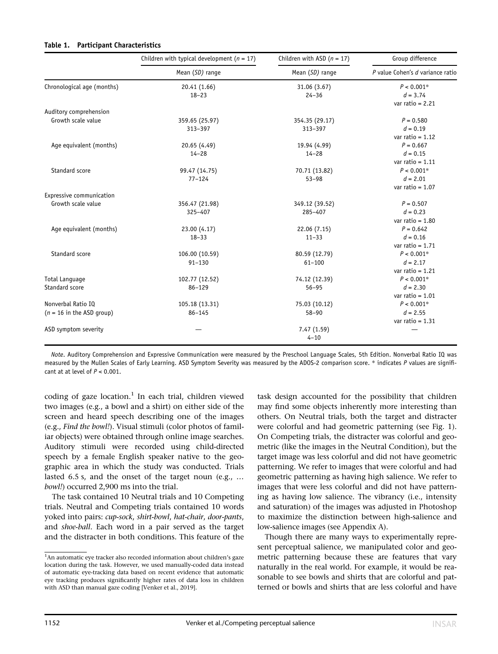#### Table 1. Participant Characteristics

|                             | Children with typical development ( $n = 17$ )<br>Mean (SD) range<br>Mean (SD) range | Children with ASD $(n = 17)$ | Group difference<br>P value Cohen's d variance ratio |
|-----------------------------|--------------------------------------------------------------------------------------|------------------------------|------------------------------------------------------|
|                             |                                                                                      |                              |                                                      |
| Chronological age (months)  | 20.41 (1.66)                                                                         | 31.06 (3.67)                 | $P < 0.001*$                                         |
|                             | $18 - 23$                                                                            | $24 - 36$                    | $d = 3.74$                                           |
|                             |                                                                                      |                              | var ratio = $2.21$                                   |
| Auditory comprehension      |                                                                                      |                              |                                                      |
| Growth scale value          | 359.65 (25.97)                                                                       | 354.35 (29.17)               | $P = 0.580$                                          |
|                             | 313-397                                                                              | 313-397                      | $d = 0.19$                                           |
|                             |                                                                                      |                              | var ratio = $1.12$                                   |
| Age equivalent (months)     | 20.65 (4.49)                                                                         | 19.94 (4.99)                 | $P = 0.667$                                          |
|                             | $14 - 28$                                                                            | $14 - 28$                    | $d = 0.15$                                           |
|                             |                                                                                      |                              | var ratio = $1.11$                                   |
| Standard score              | 99.47 (14.75)                                                                        | 70.71 (13.82)                | $P < 0.001*$                                         |
|                             | $77 - 124$                                                                           | $53 - 98$                    | $d = 2.01$                                           |
|                             |                                                                                      |                              | var ratio = $1.07$                                   |
| Expressive communication    |                                                                                      |                              |                                                      |
| Growth scale value          | 356.47 (21.98)                                                                       | 349.12 (39.52)               | $P = 0.507$                                          |
|                             | 325-407                                                                              | 285-407                      | $d = 0.23$                                           |
|                             |                                                                                      |                              | var ratio = $1.80$                                   |
| Age equivalent (months)     | 23.00 (4.17)                                                                         | 22.06 (7.15)                 | $P = 0.642$                                          |
|                             | $18 - 33$                                                                            | $11 - 33$                    | $d = 0.16$                                           |
|                             |                                                                                      |                              | var ratio = $1.71$                                   |
| Standard score              | 106.00 (10.59)                                                                       | 80.59 (12.79)                | $P < 0.001*$                                         |
|                             | $91 - 130$                                                                           | $61 - 100$                   | $d = 2.17$                                           |
|                             |                                                                                      |                              | var ratio = $1.21$                                   |
| <b>Total Language</b>       | 102.77 (12.52)                                                                       | 74.12 (12.39)                | $P < 0.001*$                                         |
| Standard score              | $86 - 129$                                                                           | $56 - 95$                    | $d = 2.30$                                           |
|                             |                                                                                      |                              | var ratio = $1.01$                                   |
| Nonverbal Ratio IO          | 105.18 (13.31)                                                                       | 75.03 (10.12)                | $P < 0.001*$                                         |
| $(n = 16$ in the ASD group) | $86 - 145$                                                                           | $58 - 90$                    | $d = 2.55$                                           |
|                             |                                                                                      |                              | var ratio = $1.31$                                   |
| ASD symptom severity        |                                                                                      | 7.47 (1.59)                  |                                                      |
|                             |                                                                                      | $4 - 10$                     |                                                      |

Note. Auditory Comprehension and Expressive Communication were measured by the Preschool Language Scales, 5th Edition. Nonverbal Ratio IQ was measured by the Mullen Scales of Early Learning. ASD Symptom Severity was measured by the ADOS-2 comparison score. \* indicates P values are significant at at level of  $P < 0.001$ .

coding of gaze location.<sup>1</sup> In each trial, children viewed two images (e.g., a bowl and a shirt) on either side of the screen and heard speech describing one of the images (e.g., Find the bowl!). Visual stimuli (color photos of familiar objects) were obtained through online image searches. Auditory stimuli were recorded using child-directed speech by a female English speaker native to the geographic area in which the study was conducted. Trials lasted 6.5 s, and the onset of the target noun (e.g., … bowl!) occurred 2,900 ms into the trial.

The task contained 10 Neutral trials and 10 Competing trials. Neutral and Competing trials contained 10 words yoked into pairs: cup-sock, shirt-bowl, hat-chair, door-pants, and shoe-ball. Each word in a pair served as the target and the distracter in both conditions. This feature of the task design accounted for the possibility that children may find some objects inherently more interesting than others. On Neutral trials, both the target and distracter were colorful and had geometric patterning (see Fig. 1). On Competing trials, the distracter was colorful and geometric (like the images in the Neutral Condition), but the target image was less colorful and did not have geometric patterning. We refer to images that were colorful and had geometric patterning as having high salience. We refer to images that were less colorful and did not have patterning as having low salience. The vibrancy (i.e., intensity and saturation) of the images was adjusted in Photoshop to maximize the distinction between high-salience and low-salience images (see Appendix A).

Though there are many ways to experimentally represent perceptual salience, we manipulated color and geometric patterning because these are features that vary naturally in the real world. For example, it would be reasonable to see bowls and shirts that are colorful and patterned or bowls and shirts that are less colorful and have

<sup>&</sup>lt;sup>1</sup>An automatic eye tracker also recorded information about children's gaze location during the task. However, we used manually-coded data instead of automatic eye-tracking data based on recent evidence that automatic eye tracking produces significantly higher rates of data loss in children with ASD than manual gaze coding [Venker et al., 2019].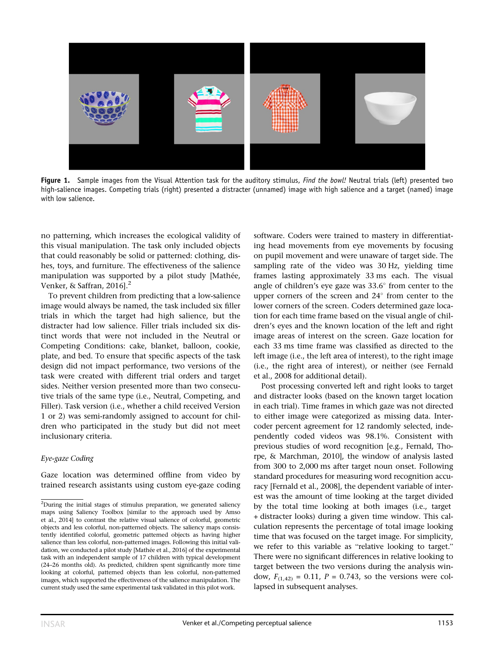

Figure 1. Sample images from the Visual Attention task for the auditory stimulus, Find the bowl! Neutral trials (left) presented two high-salience images. Competing trials (right) presented a distracter (unnamed) image with high salience and a target (named) image with low salience.

no patterning, which increases the ecological validity of this visual manipulation. The task only included objects that could reasonably be solid or patterned: clothing, dishes, toys, and furniture. The effectiveness of the salience manipulation was supported by a pilot study [Mathée, Venker, & Saffran, 2016].<sup>2</sup>

To prevent children from predicting that a low-salience image would always be named, the task included six filler trials in which the target had high salience, but the distracter had low salience. Filler trials included six distinct words that were not included in the Neutral or Competing Conditions: cake, blanket, balloon, cookie, plate, and bed. To ensure that specific aspects of the task design did not impact performance, two versions of the task were created with different trial orders and target sides. Neither version presented more than two consecutive trials of the same type (i.e., Neutral, Competing, and Filler). Task version (i.e., whether a child received Version 1 or 2) was semi-randomly assigned to account for children who participated in the study but did not meet inclusionary criteria.

#### Eye-gaze Coding

Gaze location was determined offline from video by trained research assistants using custom eye-gaze coding software. Coders were trained to mastery in differentiating head movements from eye movements by focusing on pupil movement and were unaware of target side. The sampling rate of the video was 30 Hz, yielding time frames lasting approximately 33 ms each. The visual angle of children's eye gaze was  $33.6^{\circ}$  from center to the upper corners of the screen and  $24^{\circ}$  from center to the lower corners of the screen. Coders determined gaze location for each time frame based on the visual angle of children's eyes and the known location of the left and right image areas of interest on the screen. Gaze location for each 33 ms time frame was classified as directed to the left image (i.e., the left area of interest), to the right image (i.e., the right area of interest), or neither (see Fernald et al., 2008 for additional detail).

Post processing converted left and right looks to target and distracter looks (based on the known target location in each trial). Time frames in which gaze was not directed to either image were categorized as missing data. Intercoder percent agreement for 12 randomly selected, independently coded videos was 98.1%. Consistent with previous studies of word recognition [e.g., Fernald, Thorpe, & Marchman, 2010], the window of analysis lasted from 300 to 2,000 ms after target noun onset. Following standard procedures for measuring word recognition accuracy [Fernald et al., 2008], the dependent variable of interest was the amount of time looking at the target divided by the total time looking at both images (i.e., target + distracter looks) during a given time window. This calculation represents the percentage of total image looking time that was focused on the target image. For simplicity, we refer to this variable as "relative looking to target." There were no significant differences in relative looking to target between the two versions during the analysis window,  $F_{(1,42)} = 0.11$ ,  $P = 0.743$ , so the versions were collapsed in subsequent analyses.

<sup>&</sup>lt;sup>2</sup>During the initial stages of stimulus preparation, we generated saliency maps using Saliency Toolbox [similar to the approach used by Amso et al., 2014] to contrast the relative visual salience of colorful, geometric objects and less colorful, non-patterned objects. The saliency maps consistently identified colorful, geometric patterned objects as having higher salience than less colorful, non-patterned images. Following this initial validation, we conducted a pilot study [Mathée et al., 2016] of the experimental task with an independent sample of 17 children with typical development (24–26 months old). As predicted, children spent significantly more time looking at colorful, patterned objects than less colorful, non-patterned images, which supported the effectiveness of the salience manipulation. The current study used the same experimental task validated in this pilot work.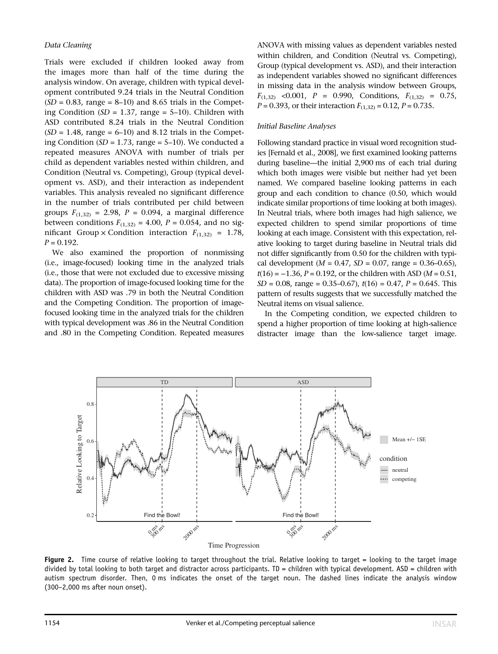Trials were excluded if children looked away from the images more than half of the time during the analysis window. On average, children with typical development contributed 9.24 trials in the Neutral Condition  $(SD = 0.83, \text{ range} = 8-10)$  and 8.65 trials in the Competing Condition ( $SD = 1.37$ , range = 5–10). Children with ASD contributed 8.24 trials in the Neutral Condition  $(SD = 1.48$ , range = 6–10) and 8.12 trials in the Competing Condition ( $SD = 1.73$ , range = 5–10). We conducted a repeated measures ANOVA with number of trials per child as dependent variables nested within children, and Condition (Neutral vs. Competing), Group (typical development vs. ASD), and their interaction as independent variables. This analysis revealed no significant difference in the number of trials contributed per child between groups  $F_{(1,32)} = 2.98$ ,  $P = 0.094$ , a marginal difference between conditions  $F_{(1,32)} = 4.00$ ,  $P = 0.054$ , and no significant Group  $\times$  Condition interaction  $F_{(1,32)} = 1.78$ ,  $P = 0.192$ .

We also examined the proportion of nonmissing (i.e., image-focused) looking time in the analyzed trials (i.e., those that were not excluded due to excessive missing data). The proportion of image-focused looking time for the children with ASD was .79 in both the Neutral Condition and the Competing Condition. The proportion of imagefocused looking time in the analyzed trials for the children with typical development was .86 in the Neutral Condition and .80 in the Competing Condition. Repeated measures ANOVA with missing values as dependent variables nested within children, and Condition (Neutral vs. Competing), Group (typical development vs. ASD), and their interaction as independent variables showed no significant differences in missing data in the analysis window between Groups,  $F_{(1,32)}$  <0.001, P = 0.990, Conditions,  $F_{(1,32)}$  = 0.75,  $P = 0.393$ , or their interaction  $F_{(1,32)} = 0.12$ ,  $P = 0.735$ .

#### Initial Baseline Analyses

Following standard practice in visual word recognition studies [Fernald et al., 2008], we first examined looking patterns during baseline—the initial 2,900 ms of each trial during which both images were visible but neither had yet been named. We compared baseline looking patterns in each group and each condition to chance (0.50, which would indicate similar proportions of time looking at both images). In Neutral trials, where both images had high salience, we expected children to spend similar proportions of time looking at each image. Consistent with this expectation, relative looking to target during baseline in Neutral trials did not differ significantly from 0.50 for the children with typical development ( $M = 0.47$ ,  $SD = 0.07$ , range = 0.36–0.65),  $t(16) = -1.36$ ,  $P = 0.192$ , or the children with ASD ( $M = 0.51$ ,  $SD = 0.08$ , range = 0.35–0.67),  $t(16) = 0.47$ ,  $P = 0.645$ . This pattern of results suggests that we successfully matched the Neutral items on visual salience.

In the Competing condition, we expected children to spend a higher proportion of time looking at high-salience distracter image than the low-salience target image.



Figure 2. Time course of relative looking to target throughout the trial. Relative looking to target = looking to the target image divided by total looking to both target and distractor across participants. TD = children with typical development. ASD = children with autism spectrum disorder. Then, 0 ms indicates the onset of the target noun. The dashed lines indicate the analysis window (300–2,000 ms after noun onset).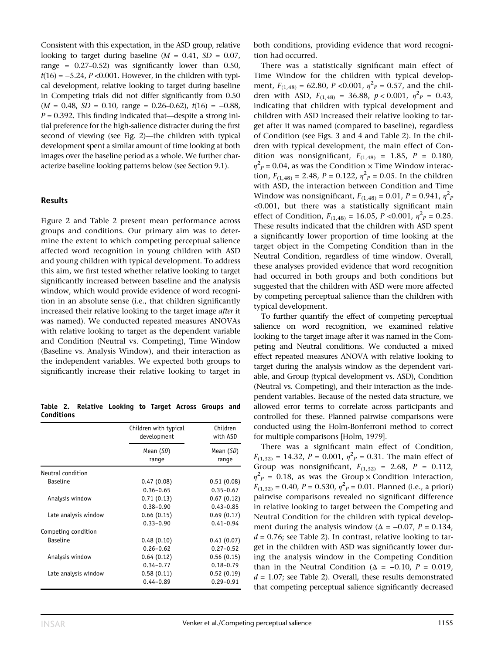Consistent with this expectation, in the ASD group, relative looking to target during baseline  $(M = 0.41, SD = 0.07,$ range =  $0.27-0.52$ ) was significantly lower than  $0.50$ ,  $t(16) = -5.24$ , P <0.001. However, in the children with typical development, relative looking to target during baseline in Competing trials did not differ significantly from 0.50  $(M = 0.48, SD = 0.10, range = 0.26{\text -}0.62), t(16) = -0.88,$  $P = 0.392$ . This finding indicated that—despite a strong initial preference for the high-salience distracter during the first second of viewing (see Fig. 2)—the children with typical development spent a similar amount of time looking at both images over the baseline period as a whole. We further characterize baseline looking patterns below (see Section 9.1).

#### Results

Figure 2 and Table 2 present mean performance across groups and conditions. Our primary aim was to determine the extent to which competing perceptual salience affected word recognition in young children with ASD and young children with typical development. To address this aim, we first tested whether relative looking to target significantly increased between baseline and the analysis window, which would provide evidence of word recognition in an absolute sense (i.e., that children significantly increased their relative looking to the target image after it was named). We conducted repeated measures ANOVAs with relative looking to target as the dependent variable and Condition (Neutral vs. Competing), Time Window (Baseline vs. Analysis Window), and their interaction as the independent variables. We expected both groups to significantly increase their relative looking to target in

Table 2. Relative Looking to Target Across Groups and **Conditions** 

|                      | Children with typical<br>development | Children<br>with ASD |
|----------------------|--------------------------------------|----------------------|
|                      | Mean (SD)<br>range                   | Mean (SD)<br>range   |
| Neutral condition    |                                      |                      |
| <b>Baseline</b>      | 0.47(0.08)                           | 0.51(0.08)           |
|                      | $0.36 - 0.65$                        | $0.35 - 0.67$        |
| Analysis window      | 0.71(0.13)                           | 0.67(0.12)           |
|                      | $0.38 - 0.90$                        | $0.43 - 0.85$        |
| Late analysis window | 0.66(0.15)                           | 0.69(0.17)           |
|                      | $0.33 - 0.90$                        | $0.41 - 0.94$        |
| Competing condition  |                                      |                      |
| <b>Baseline</b>      | 0.48(0.10)                           | 0.41(0.07)           |
|                      | $0.26 - 0.62$                        | $0.27 - 0.52$        |
| Analysis window      | 0.64(0.12)                           | 0.56(0.15)           |
|                      | $0.34 - 0.77$                        | $0.18 - 0.79$        |
| Late analysis window | 0.58(0.11)                           | 0.52(0.19)           |
|                      | $0.44 - 0.89$                        | $0.29 - 0.91$        |

both conditions, providing evidence that word recognition had occurred.

There was a statistically significant main effect of Time Window for the children with typical development,  $F_{(1,48)} = 62.80$ ,  $P < 0.001$ ,  $\eta^2 P = 0.57$ , and the children with ASD,  $F_{(1,48)} = 36.88$ ,  $p < 0.001$ ,  $\eta^2 P = 0.43$ , indicating that children with typical development and children with ASD increased their relative looking to target after it was named (compared to baseline), regardless of Condition (see Figs. 3 and 4 and Table 2). In the children with typical development, the main effect of Condition was nonsignificant,  $F_{(1,48)} = 1.85$ ,  $P = 0.180$ ,  $\eta^2$ <sub>P</sub> = 0.04, as was the Condition  $\times$  Time Window interaction,  $F_{(1,48)} = 2.48$ ,  $P = 0.122$ ,  $\eta^2 P = 0.05$ . In the children with ASD, the interaction between Condition and Time Window was nonsignificant,  $F_{(1,48)} = 0.01$ ,  $P = 0.941$ ,  $\eta^2$ <sub>F</sub> <0.001, but there was a statistically significant main effect of Condition,  $F_{(1,48)} = 16.05$ ,  $P < 0.001$ ,  $\eta^2 P = 0.25$ . These results indicated that the children with ASD spent a significantly lower proportion of time looking at the target object in the Competing Condition than in the Neutral Condition, regardless of time window. Overall, these analyses provided evidence that word recognition had occurred in both groups and both conditions but suggested that the children with ASD were more affected by competing perceptual salience than the children with typical development.

To further quantify the effect of competing perceptual salience on word recognition, we examined relative looking to the target image after it was named in the Competing and Neutral conditions. We conducted a mixed effect repeated measures ANOVA with relative looking to target during the analysis window as the dependent variable, and Group (typical development vs. ASD), Condition (Neutral vs. Competing), and their interaction as the independent variables. Because of the nested data structure, we allowed error terms to correlate across participants and controlled for these. Planned pairwise comparisons were conducted using the Holm-Bonferroni method to correct for multiple comparisons [Holm, 1979].

There was a significant main effect of Condition,  $F_{(1,32)} = 14.32$ ,  $P = 0.001$ ,  $\eta^2 P = 0.31$ . The main effect of Group was nonsignificant,  $F_{(1,32)} = 2.68$ ,  $P = 0.112$ ,  $\eta^2_{P}$  = 0.18, as was the Group x Condition interaction,  $F_{(1,32)} = 0.40$ ,  $P = 0.530$ ,  $\eta^2 P = 0.01$ . Planned (i.e., a priori) pairwise comparisons revealed no significant difference in relative looking to target between the Competing and Neutral Condition for the children with typical development during the analysis window ( $\Delta = -0.07$ ,  $P = 0.134$ ,  $d = 0.76$ ; see Table 2). In contrast, relative looking to target in the children with ASD was significantly lower during the analysis window in the Competing Condition than in the Neutral Condition ( $\Delta = -0.10$ ,  $P = 0.019$ ,  $d = 1.07$ ; see Table 2). Overall, these results demonstrated that competing perceptual salience significantly decreased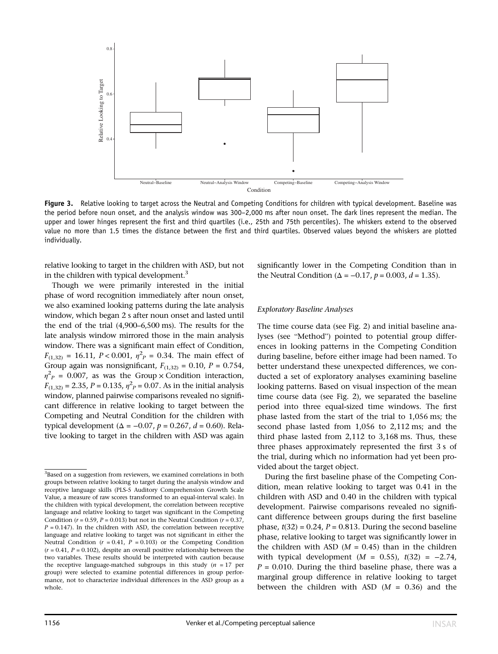

Figure 3. Relative looking to target across the Neutral and Competing Conditions for children with typical development. Baseline was the period before noun onset, and the analysis window was 300–2,000 ms after noun onset. The dark lines represent the median. The upper and lower hinges represent the first and third quartiles (i.e., 25th and 75th percentiles). The whiskers extend to the observed value no more than 1.5 times the distance between the first and third quartiles. Observed values beyond the whiskers are plotted individually.

relative looking to target in the children with ASD, but not in the children with typical development.<sup>3</sup>

Though we were primarily interested in the initial phase of word recognition immediately after noun onset, we also examined looking patterns during the late analysis window, which began 2 s after noun onset and lasted until the end of the trial (4,900–6,500 ms). The results for the late analysis window mirrored those in the main analysis window. There was a significant main effect of Condition,  $F_{(1,32)} = 16.11, P < 0.001, \eta^2 = 0.34.$  The main effect of Group again was nonsignificant,  $F_{(1,32)} = 0.10$ ,  $P = 0.754$ ,  $\eta^2 P = 0.007$ , as was the Group x Condition interaction,  $F_{(1,32)} = 2.35$ ,  $P = 0.135$ ,  $\eta^2 P = 0.07$ . As in the initial analysis window, planned pairwise comparisons revealed no significant difference in relative looking to target between the Competing and Neutral Condition for the children with typical development ( $\Delta = -0.07$ ,  $p = 0.267$ ,  $d = 0.60$ ). Relative looking to target in the children with ASD was again

significantly lower in the Competing Condition than in the Neutral Condition ( $\Delta = -0.17$ ,  $p = 0.003$ ,  $d = 1.35$ ).

#### Exploratory Baseline Analyses

The time course data (see Fig. 2) and initial baseline analyses (see "Method") pointed to potential group differences in looking patterns in the Competing Condition during baseline, before either image had been named. To better understand these unexpected differences, we conducted a set of exploratory analyses examining baseline looking patterns. Based on visual inspection of the mean time course data (see Fig. 2), we separated the baseline period into three equal-sized time windows. The first phase lasted from the start of the trial to 1,056 ms; the second phase lasted from 1,056 to 2,112 ms; and the third phase lasted from 2,112 to 3,168 ms. Thus, these three phases approximately represented the first 3 s of the trial, during which no information had yet been provided about the target object.

During the first baseline phase of the Competing Condition, mean relative looking to target was 0.41 in the children with ASD and 0.40 in the children with typical development. Pairwise comparisons revealed no significant difference between groups during the first baseline phase,  $t(32) = 0.24$ ,  $P = 0.813$ . During the second baseline phase, relative looking to target was significantly lower in the children with ASD  $(M = 0.45)$  than in the children with typical development ( $M = 0.55$ ),  $t(32) = -2.74$ ,  $P = 0.010$ . During the third baseline phase, there was a marginal group difference in relative looking to target between the children with ASD  $(M = 0.36)$  and the

<sup>&</sup>lt;sup>3</sup>Based on a suggestion from reviewers, we examined correlations in both groups between relative looking to target during the analysis window and receptive language skills (PLS-5 Auditory Comprehension Growth Scale Value, a measure of raw scores transformed to an equal-interval scale). In the children with typical development, the correlation between receptive language and relative looking to target was significant in the Competing Condition ( $r = 0.59$ ,  $P = 0.013$ ) but not in the Neutral Condition ( $r = 0.37$ ,  $P = 0.147$ ). In the children with ASD, the correlation between receptive language and relative looking to target was not significant in either the Neutral Condition ( $r = 0.41$ ,  $P = 0.103$ ) or the Competing Condition  $(r = 0.41, P = 0.102)$ , despite an overall positive relationship between the two variables. These results should be interpreted with caution because the receptive language-matched subgroups in this study  $(n = 17$  per group) were selected to examine potential differences in group performance, not to characterize individual differences in the ASD group as a whole.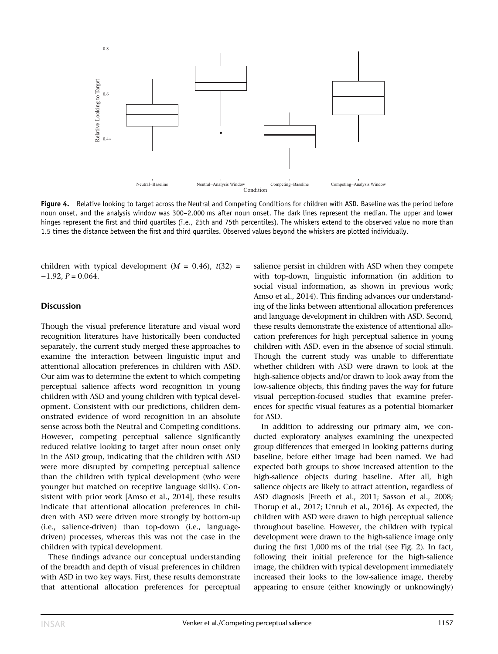

Figure 4. Relative looking to target across the Neutral and Competing Conditions for children with ASD. Baseline was the period before noun onset, and the analysis window was 300–2,000 ms after noun onset. The dark lines represent the median. The upper and lower hinges represent the first and third quartiles (i.e., 25th and 75th percentiles). The whiskers extend to the observed value no more than 1.5 times the distance between the first and third quartiles. Observed values beyond the whiskers are plotted individually.

children with typical development  $(M = 0.46)$ ,  $t(32) =$  $-1.92, P = 0.064.$ 

#### **Discussion**

Though the visual preference literature and visual word recognition literatures have historically been conducted separately, the current study merged these approaches to examine the interaction between linguistic input and attentional allocation preferences in children with ASD. Our aim was to determine the extent to which competing perceptual salience affects word recognition in young children with ASD and young children with typical development. Consistent with our predictions, children demonstrated evidence of word recognition in an absolute sense across both the Neutral and Competing conditions. However, competing perceptual salience significantly reduced relative looking to target after noun onset only in the ASD group, indicating that the children with ASD were more disrupted by competing perceptual salience than the children with typical development (who were younger but matched on receptive language skills). Consistent with prior work [Amso et al., 2014], these results indicate that attentional allocation preferences in children with ASD were driven more strongly by bottom-up (i.e., salience-driven) than top-down (i.e., languagedriven) processes, whereas this was not the case in the children with typical development.

These findings advance our conceptual understanding of the breadth and depth of visual preferences in children with ASD in two key ways. First, these results demonstrate that attentional allocation preferences for perceptual salience persist in children with ASD when they compete with top-down, linguistic information (in addition to social visual information, as shown in previous work; Amso et al., 2014). This finding advances our understanding of the links between attentional allocation preferences and language development in children with ASD. Second, these results demonstrate the existence of attentional allocation preferences for high perceptual salience in young children with ASD, even in the absence of social stimuli. Though the current study was unable to differentiate whether children with ASD were drawn to look at the high-salience objects and/or drawn to look away from the low-salience objects, this finding paves the way for future visual perception-focused studies that examine preferences for specific visual features as a potential biomarker for ASD.

In addition to addressing our primary aim, we conducted exploratory analyses examining the unexpected group differences that emerged in looking patterns during baseline, before either image had been named. We had expected both groups to show increased attention to the high-salience objects during baseline. After all, high salience objects are likely to attract attention, regardless of ASD diagnosis [Freeth et al., 2011; Sasson et al., 2008; Thorup et al., 2017; Unruh et al., 2016]. As expected, the children with ASD were drawn to high perceptual salience throughout baseline. However, the children with typical development were drawn to the high-salience image only during the first 1,000 ms of the trial (see Fig. 2). In fact, following their initial preference for the high-salience image, the children with typical development immediately increased their looks to the low-salience image, thereby appearing to ensure (either knowingly or unknowingly)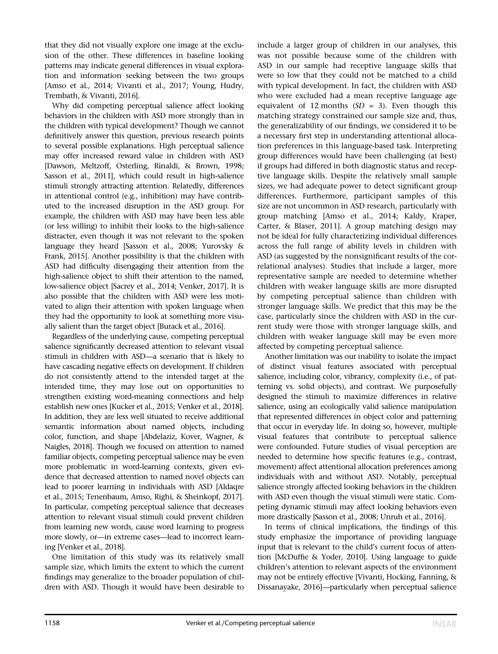that they did not visually explore one image at the exclusion of the other. These differences in baseline looking patterns may indicate general differences in visual exploration and information seeking between the two groups [Amso et al., 2014; Vivanti et al., 2017; Young, Hudry, Trembath, & Vivanti, 2016].

Why did competing perceptual salience affect looking behaviors in the children with ASD more strongly than in the children with typical development? Though we cannot definitively answer this question, previous research points to several possible explanations. High perceptual salience may offer increased reward value in children with ASD [Dawson, Meltzoff, Osterling, Rinaldi, & Brown, 1998; Sasson et al., 2011], which could result in high-salience stimuli strongly attracting attention. Relatedly, differences in attentional control (e.g., inhibition) may have contributed to the increased disruption in the ASD group. For example, the children with ASD may have been less able (or less willing) to inhibit their looks to the high-salience distracter, even though it was not relevant to the spoken language they heard [Sasson et al., 2008; Yurovsky & Frank, 2015]. Another possibility is that the children with ASD had difficulty disengaging their attention from the high-salience object to shift their attention to the named, low-salience object [Sacrey et al., 2014; Venker, 2017]. It is also possible that the children with ASD were less motivated to align their attention with spoken language when they had the opportunity to look at something more visually salient than the target object [Burack et al., 2016].

Regardless of the underlying cause, competing perceptual salience significantly decreased attention to relevant visual stimuli in children with ASD—a scenario that is likely to have cascading negative effects on development. If children do not consistently attend to the intended target at the intended time, they may lose out on opportunities to strengthen existing word-meaning connections and help establish new ones [Kucker et al., 2015; Venker et al., 2018]. In addition, they are less well situated to receive additional semantic information about named objects, including color, function, and shape [Abdelaziz, Kover, Wagner, & Naigles, 2018]. Though we focused on attention to named familiar objects, competing perceptual salience may be even more problematic in word-learning contexts, given evidence that decreased attention to named novel objects can lead to poorer learning in individuals with ASD [Aldaqre et al., 2015; Tenenbaum, Amso, Righi, & Sheinkopf, 2017]. In particular, competing perceptual salience that decreases attention to relevant visual stimuli could prevent children from learning new words, cause word learning to progress more slowly, or—in extreme cases—lead to incorrect learning [Venker et al., 2018].

One limitation of this study was its relatively small sample size, which limits the extent to which the current findings may generalize to the broader population of children with ASD. Though it would have been desirable to

include a larger group of children in our analyses, this was not possible because some of the children with ASD in our sample had receptive language skills that were so low that they could not be matched to a child with typical development. In fact, the children with ASD who were excluded had a mean receptive language age equivalent of 12 months  $(SD = 3)$ . Even though this matching strategy constrained our sample size and, thus, the generalizability of our findings, we considered it to be a necessary first step in understanding attentional allocation preferences in this language-based task. Interpreting group differences would have been challenging (at best) if groups had differed in both diagnostic status and receptive language skills. Despite the relatively small sample sizes, we had adequate power to detect significant group differences. Furthermore, participant samples of this size are not uncommon in ASD research, particularly with group matching [Amso et al., 2014; Kaldy, Kraper, Carter, & Blaser, 2011]. A group matching design may not be ideal for fully characterizing individual differences across the full range of ability levels in children with ASD (as suggested by the nonsignificant results of the correlational analyses). Studies that include a larger, more representative sample are needed to determine whether children with weaker language skills are more disrupted by competing perceptual salience than children with stronger language skills. We predict that this may be the case, particularly since the children with ASD in the current study were those with stronger language skills, and children with weaker language skill may be even more affected by competing perceptual salience.

Another limitation was our inability to isolate the impact of distinct visual features associated with perceptual salience, including color, vibrancy, complexity (i.e., of patterning vs. solid objects), and contrast. We purposefully designed the stimuli to maximize differences in relative salience, using an ecologically valid salience manipulation that represented differences in object color and patterning that occur in everyday life. In doing so, however, multiple visual features that contribute to perceptual salience were confounded. Future studies of visual perception are needed to determine how specific features (e.g., contrast, movement) affect attentional allocation preferences among individuals with and without ASD. Notably, perceptual salience strongly affected looking behaviors in the children with ASD even though the visual stimuli were static. Competing dynamic stimuli may affect looking behaviors even more drastically [Sasson et al., 2008; Unruh et al., 2016].

In terms of clinical implications, the findings of this study emphasize the importance of providing language input that is relevant to the child's current focus of attention [McDuffie & Yoder, 2010]. Using language to guide children's attention to relevant aspects of the environment may not be entirely effective [Vivanti, Hocking, Fanning, & Dissanayake, 2016]—particularly when perceptual salience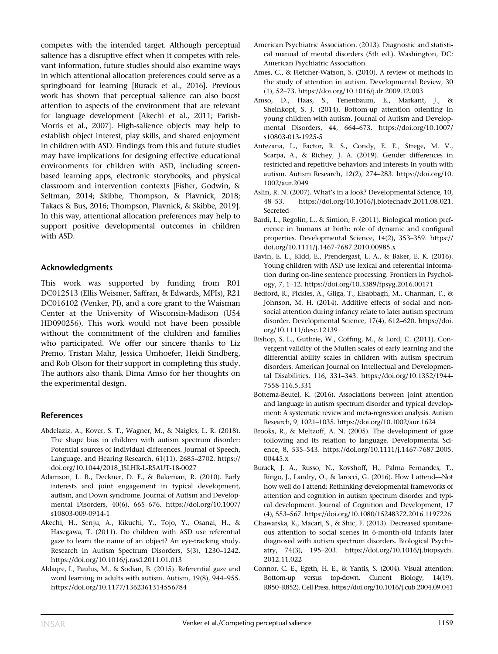competes with the intended target. Although perceptual salience has a disruptive effect when it competes with relevant information, future studies should also examine ways in which attentional allocation preferences could serve as a springboard for learning [Burack et al., 2016]. Previous work has shown that perceptual salience can also boost attention to aspects of the environment that are relevant for language development [Akechi et al., 2011; Parish-Morris et al., 2007]. High-salience objects may help to establish object interest, play skills, and shared enjoyment in children with ASD. Findings from this and future studies may have implications for designing effective educational environments for children with ASD, including screenbased learning apps, electronic storybooks, and physical classroom and intervention contexts [Fisher, Godwin, & Seltman, 2014; Skibbe, Thompson, & Plavnick, 2018; Takacs & Bus, 2016; Thompson, Plavnick, & Skibbe, 2019]. In this way, attentional allocation preferences may help to support positive developmental outcomes in children with ASD.

#### Acknowledgments

This work was supported by funding from R01 DC012513 (Ellis Weismer, Saffran, & Edwards, MPIs), R21 DC016102 (Venker, PI), and a core grant to the Waisman Center at the University of Wisconsin-Madison (U54 HD090256). This work would not have been possible without the commitment of the children and families who participated. We offer our sincere thanks to Liz Premo, Tristan Mahr, Jessica Umhoefer, Heidi Sindberg, and Rob Olson for their support in completing this study. The authors also thank Dima Amso for her thoughts on the experimental design.

## References

- Abdelaziz, A., Kover, S. T., Wagner, M., & Naigles, L. R. (2018). The shape bias in children with autism spectrum disorder: Potential sources of individual differences. Journal of Speech, Language, and Hearing Research, 61(11), 2685–2702. [https://](https://doi.org/10.1044/2018_JSLHR-L-RSAUT-18-0027) [doi.org/10.1044/2018\\_JSLHR-L-RSAUT-18-0027](https://doi.org/10.1044/2018_JSLHR-L-RSAUT-18-0027)
- Adamson, L. B., Deckner, D. F., & Bakeman, R. (2010). Early interests and joint engagement in typical development, autism, and Down syndrome. Journal of Autism and Developmental Disorders, 40(6), 665–676. [https://doi.org/10.1007/](https://doi.org/10.1007/s10803-009-0914-1) [s10803-009-0914-1](https://doi.org/10.1007/s10803-009-0914-1)
- Akechi, H., Senju, A., Kikuchi, Y., Tojo, Y., Osanai, H., & Hasegawa, T. (2011). Do children with ASD use referential gaze to learn the name of an object? An eye-tracking study. Research in Autism Spectrum Disorders, 5(3), 1230–1242. <https://doi.org/10.1016/j.rasd.2011.01.013>
- Aldaqre, I., Paulus, M., & Sodian, B. (2015). Referential gaze and word learning in adults with autism. Autism, 19(8), 944–955. <https://doi.org/10.1177/1362361314556784>
- American Psychiatric Association. (2013). Diagnostic and statistical manual of mental disorders (5th ed.). Washington, DC: American Psychiatric Association.
- Ames, C., & Fletcher-Watson, S. (2010). A review of methods in the study of attention in autism. Developmental Review, 30 (1), 52–73.<https://doi.org/10.1016/j.dr.2009.12.003>
- Amso, D., Haas, S., Tenenbaum, E., Markant, J., & Sheinkopf, S. J. (2014). Bottom-up attention orienting in young children with autism. Journal of Autism and Developmental Disorders, 44, 664–673. [https://doi.org/10.1007/](https://doi.org/10.1007/s10803-013-1925-5) [s10803-013-1925-5](https://doi.org/10.1007/s10803-013-1925-5)
- Antezana, L., Factor, R. S., Condy, E. E., Strege, M. V., Scarpa, A., & Richey, J. A. (2019). Gender differences in restricted and repetitive behaviors and interests in youth with autism. Autism Research, 12(2), 274–283. [https://doi.org/10.](https://doi.org/10.1002/aur.2049) [1002/aur.2049](https://doi.org/10.1002/aur.2049)
- Aslin, R. N. (2007). What's in a look? Developmental Science, 10, 48–53. [https://doi.org/10.1016/j.biotechadv.2011.08.021.](https://doi.org/10.1016/j.biotechadv.2011.08.021.Secreted) [Secreted](https://doi.org/10.1016/j.biotechadv.2011.08.021.Secreted)
- Bardi, L., Regolin, L., & Simion, F. (2011). Biological motion preference in humans at birth: role of dynamic and configural properties. Developmental Science, 14(2), 353–359. [https://](https://doi.org/10.1111/j.1467-7687.2010.00985.x) [doi.org/10.1111/j.1467-7687.2010.00985.x](https://doi.org/10.1111/j.1467-7687.2010.00985.x)
- Bavin, E. L., Kidd, E., Prendergast, L. A., & Baker, E. K. (2016). Young children with ASD use lexical and referential information during on-line sentence processing. Frontiers in Psychology, 7, 1–12.<https://doi.org/10.3389/fpsyg.2016.00171>
- Bedford, R., Pickles, A., Gliga, T., Elsabbagh, M., Charman, T., & Johnson, M. H. (2014). Additive effects of social and nonsocial attention during infancy relate to later autism spectrum disorder. Developmental Science, 17(4), 612–620. [https://doi.](https://doi.org/10.1111/desc.12139) [org/10.1111/desc.12139](https://doi.org/10.1111/desc.12139)
- Bishop, S. L., Guthrie, W., Coffing, M., & Lord, C. (2011). Convergent validity of the Mullen scales of early learning and the differential ability scales in children with autism spectrum disorders. American Journal on Intellectual and Developmental Disabilities, 116, 331–343. [https://doi.org/10.1352/1944-](https://doi.org/10.1352/1944-7558-116.5.331) [7558-116.5.331](https://doi.org/10.1352/1944-7558-116.5.331)
- Bottema-Beutel, K. (2016). Associations between joint attention and language in autism spectrum disorder and typical development: A systematic review and meta-regression analysis. Autism Research, 9, 1021–1035.<https://doi.org/10.1002/aur.1624>
- Brooks, R., & Meltzoff, A. N. (2005). The development of gaze following and its relation to language. Developmental Science, 8, 535–543. [https://doi.org/10.1111/j.1467-7687.2005.](https://doi.org/10.1111/j.1467-7687.2005.00445.x) [00445.x](https://doi.org/10.1111/j.1467-7687.2005.00445.x)
- Burack, J. A., Russo, N., Kovshoff, H., Palma Fernandes, T., Ringo, J., Landry, O., & Iarocci, G. (2016). How I attend—Not how well do I attend: Rethinking developmental frameworks of attention and cognition in autism spectrum disorder and typical development. Journal of Cognition and Development, 17 (4), 553–567.<https://doi.org/10.1080/15248372.2016.1197226>
- Chawarska, K., Macari, S., & Shic, F. (2013). Decreased spontaneous attention to social scenes in 6-month-old infants later diagnosed with autism spectrum disorders. Biological Psychiatry, 74(3), 195–203. [https://doi.org/10.1016/j.biopsych.](https://doi.org/10.1016/j.biopsych.2012.11.022) [2012.11.022](https://doi.org/10.1016/j.biopsych.2012.11.022)
- Connor, C. E., Egeth, H. E., & Yantis, S. (2004). Visual attention: Bottom-up versus top-down. Current Biology, 14(19), R850–R852). Cell Press.<https://doi.org/10.1016/j.cub.2004.09.041>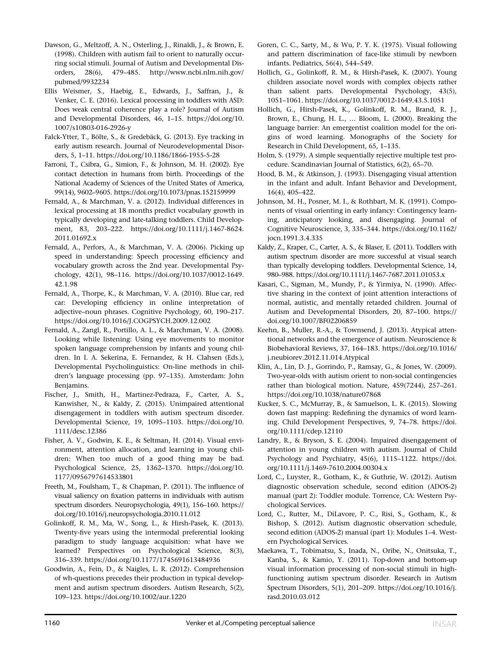- Dawson, G., Meltzoff, A. N., Osterling, J., Rinaldi, J., & Brown, E. (1998). Children with autism fail to orient to naturally occurring social stimuli. Journal of Autism and Developmental Disorders, 28(6), 479–485. [http://www.ncbi.nlm.nih.gov/](http://www.ncbi.nlm.nih.gov/pubmed/9932234) [pubmed/9932234](http://www.ncbi.nlm.nih.gov/pubmed/9932234)
- Ellis Weismer, S., Haebig, E., Edwards, J., Saffran, J., & Venker, C. E. (2016). Lexical processing in toddlers with ASD: Does weak central coherence play a role? Journal of Autism and Developmental Disorders, 46, 1–15. [https://doi.org/10.](https://doi.org/10.1007/s10803-016-2926-y) [1007/s10803-016-2926-y](https://doi.org/10.1007/s10803-016-2926-y)
- Falck-Ytter, T., Bölte, S., & Gredebäck, G. (2013). Eye tracking in early autism research. Journal of Neurodevelopmental Disorders, 5, 1–11.<https://doi.org/10.1186/1866-1955-5-28>
- Farroni, T., Csibra, G., Simion, F., & Johnson, M. H. (2002). Eye contact detection in humans from birth. Proceedings of the National Academy of Sciences of the United States of America, 99(14), 9602–9605.<https://doi.org/10.1073/pnas.152159999>
- Fernald, A., & Marchman, V. a. (2012). Individual differences in lexical processing at 18 months predict vocabulary growth in typically developing and late-talking toddlers. Child Development, 83, 203–222. [https://doi.org/10.1111/j.1467-8624.](https://doi.org/10.1111/j.1467-8624.2011.01692.x) [2011.01692.x](https://doi.org/10.1111/j.1467-8624.2011.01692.x)
- Fernald, A., Perfors, A., & Marchman, V. A. (2006). Picking up speed in understanding: Speech processing efficiency and vocabulary growth across the 2nd year. Developmental Psychology, 42(1), 98–116. [https://doi.org/10.1037/0012-1649.](https://doi.org/10.1037/0012-1649.42.1.98) [42.1.98](https://doi.org/10.1037/0012-1649.42.1.98)
- Fernald, A., Thorpe, K., & Marchman, V. A. (2010). Blue car, red car: Developing efficiency in online interpretation of adjective–noun phrases. Cognitive Psychology, 60, 190–217. <https://doi.org/10.1016/J.COGPSYCH.2009.12.002>
- Fernald, A., Zangl, R., Portillo, A. L., & Marchman, V. A. (2008). Looking while listening: Using eye movements to monitor spoken language comprehension by infants and young children. In I. A. Sekerina, E. Fernandez, & H. Clahsen (Eds.), Developmental Psycholinguistics: On-line methods in children's language processing (pp. 97–135). Amsterdam: John Benjamins.
- Fischer, J., Smith, H., Martinez-Pedraza, F., Carter, A. S., Kanwisher, N., & Kaldy, Z. (2015). Unimpaired attentional disengagement in toddlers with autism spectrum disorder. Developmental Science, 19, 1095–1103. [https://doi.org/10.](https://doi.org/10.1111/desc.12386) [1111/desc.12386](https://doi.org/10.1111/desc.12386)
- Fisher, A. V., Godwin, K. E., & Seltman, H. (2014). Visual environment, attention allocation, and learning in young children: When too much of a good thing may be bad. Psychological Science, 25, 1362–1370. [https://doi.org/10.](https://doi.org/10.1177/0956797614533801) [1177/0956797614533801](https://doi.org/10.1177/0956797614533801)
- Freeth, M., Foulsham, T., & Chapman, P. (2011). The influence of visual saliency on fixation patterns in individuals with autism spectrum disorders. Neuropsychologia, 49(1), 156–160. [https://](https://doi.org/10.1016/j.neuropsychologia.2010.11.012) [doi.org/10.1016/j.neuropsychologia.2010.11.012](https://doi.org/10.1016/j.neuropsychologia.2010.11.012)
- Golinkoff, R. M., Ma, W., Song, L., & Hirsh-Pasek, K. (2013). Twenty-five years using the intermodal preferential looking paradigm to study language acquisition: what have we learned? Perspectives on Psychological Science, 8(3), 316–339.<https://doi.org/10.1177/1745691613484936>
- Goodwin, A., Fein, D., & Naigles, L. R. (2012). Comprehension of wh-questions precedes their production in typical development and autism spectrum disorders. Autism Research, 5(2), 109–123.<https://doi.org/10.1002/aur.1220>
- Goren, C. C., Sarty, M., & Wu, P. Y. K. (1975). Visual following and pattern discrimination of face-like stimuli by newborn infants. Pediatrics, 56(4), 544–549.
- Hollich, G., Golinkoff, R. M., & Hirsh-Pasek, K. (2007). Young children associate novel words with complex objects rather than salient parts. Developmental Psychology, 43(5), 1051–1061.<https://doi.org/10.1037/0012-1649.43.5.1051>
- Hollich, G., Hirsh-Pasek, K., Golinkoff, R. M., Brand, R. J., Brown, E., Chung, H. L., … Bloom, L. (2000). Breaking the language barrier: An emergentist coalition model for the origins of word learning. Monographs of the Society for Research in Child Development, 65, 1–135.
- Holm, S. (1979). A simple sequentially rejective multiple test procedure. Scandinavian Journal of Statistics, 6(2), 65–70.
- Hood, B. M., & Atkinson, J. (1993). Disengaging visual attention in the infant and adult. Infant Behavior and Development, 16(4), 405–422.
- Johnson, M. H., Posner, M. I., & Rothbart, M. K. (1991). Components of visual orienting in early infancy: Contingency learning, anticipatory looking, and disengaging. Journal of Cognitive Neuroscience, 3, 335–344. [https://doi.org/10.1162/](https://doi.org/10.1162/jocn.1991.3.4.335) [jocn.1991.3.4.335](https://doi.org/10.1162/jocn.1991.3.4.335)
- Kaldy, Z., Kraper, C., Carter, A. S., & Blaser, E. (2011). Toddlers with autism spectrum disorder are more successful at visual search than typically developing toddlers. Developmental Science, 14, 980–988.<https://doi.org/10.1111/j.1467-7687.2011.01053.x>
- Kasari, C., Sigman, M., Mundy, P., & Yirmiya, N. (1990). Affective sharing in the context of joint attention interactions of normal, autistic, and mentally retarded children. Journal of Autism and Developmental Disorders, 20, 87–100. [https://](https://doi.org/10.1007/BF02206859) [doi.org/10.1007/BF02206859](https://doi.org/10.1007/BF02206859)
- Keehn, B., Muller, R.-A., & Townsend, J. (2013). Atypical attentional networks and the emergence of autism. Neuroscience & Biobehavioral Reviews, 37, 164–183. [https://doi.org/10.1016/](https://doi.org/10.1016/j.neubiorev.2012.11.014.Atypical) [j.neubiorev.2012.11.014.Atypical](https://doi.org/10.1016/j.neubiorev.2012.11.014.Atypical)
- Klin, A., Lin, D. J., Gorrindo, P., Ramsay, G., & Jones, W. (2009). Two-year-olds with autism orient to non-social contingencies rather than biological motion. Nature, 459(7244), 257–261. <https://doi.org/10.1038/nature07868>
- Kucker, S. C., McMurray, B., & Samuelson, L. K. (2015). Slowing down fast mapping: Redefining the dynamics of word learning. Child Development Perspectives, 9, 74–78. [https://doi.](https://doi.org/10.1111/cdep.12110) [org/10.1111/cdep.12110](https://doi.org/10.1111/cdep.12110)
- Landry, R., & Bryson, S. E. (2004). Impaired disengagement of attention in young children with autism. Journal of Child Psychology and Psychiatry, 45(6), 1115–1122. [https://doi.](https://doi.org/10.1111/j.1469-7610.2004.00304.x) [org/10.1111/j.1469-7610.2004.00304.x](https://doi.org/10.1111/j.1469-7610.2004.00304.x)
- Lord, C., Luyster, R., Gotham, K., & Guthrie, W. (2012). Autism diagnostic observation schedule, second edition (ADOS-2) manual (part 2): Toddler module. Torrence, CA: Western Psychological Services.
- Lord, C., Rutter, M., DiLavore, P. C., Risi, S., Gotham, K., & Bishop, S. (2012). Autism diagnostic observation schedule, second edition (ADOS-2) manual (part 1): Modules 1–4. Western Psychological Services.
- Maekawa, T., Tobimatsu, S., Inada, N., Oribe, N., Onitsuka, T., Kanba, S., & Kamio, Y. (2011). Top-down and bottom-up visual information processing of non-social stimuli in highfunctioning autism spectrum disorder. Research in Autism Spectrum Disorders, 5(1), 201–209. [https://doi.org/10.1016/j.](https://doi.org/10.1016/j.rasd.2010.03.012) [rasd.2010.03.012](https://doi.org/10.1016/j.rasd.2010.03.012)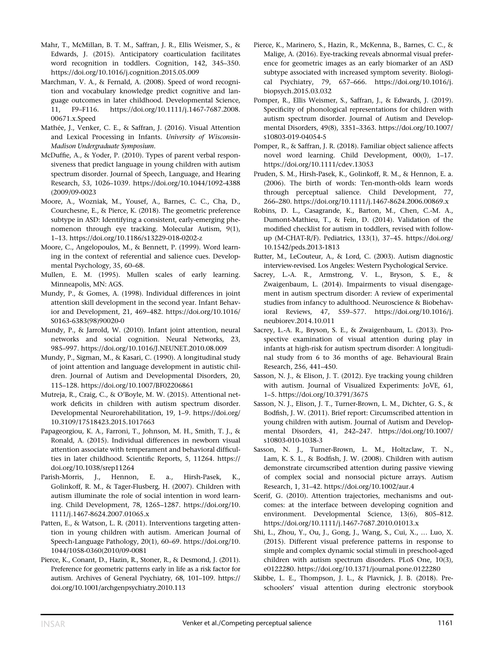Mahr, T., McMillan, B. T. M., Saffran, J. R., Ellis Weismer, S., & Edwards, J. (2015). Anticipatory coarticulation facilitates word recognition in toddlers. Cognition, 142, 345–350. <https://doi.org/10.1016/j.cognition.2015.05.009>

Marchman, V. A., & Fernald, A. (2008). Speed of word recognition and vocabulary knowledge predict cognitive and language outcomes in later childhood. Developmental Science, 11, F9–F116. [https://doi.org/10.1111/j.1467-7687.2008.](https://doi.org/10.1111/j.1467-7687.2008.00671.x.Speed) [00671.x.Speed](https://doi.org/10.1111/j.1467-7687.2008.00671.x.Speed)

Mathée, J., Venker, C. E., & Saffran, J. (2016). Visual Attention and Lexical Processing in Infants. University of Wisconsin-Madison Undergraduate Symposium.

McDuffie, A., & Yoder, P. (2010). Types of parent verbal responsiveness that predict language in young children with autism spectrum disorder. Journal of Speech, Language, and Hearing Research, 53, 1026–1039. [https://doi.org/10.1044/1092-4388](https://doi.org/10.1044/1092-4388(2009/09-0023) [\(2009/09-0023](https://doi.org/10.1044/1092-4388(2009/09-0023)

Moore, A., Wozniak, M., Yousef, A., Barnes, C. C., Cha, D., Courchesne, E., & Pierce, K. (2018). The geometric preference subtype in ASD: Identifying a consistent, early-emerging phenomenon through eye tracking. Molecular Autism, 9(1), 1–13.<https://doi.org/10.1186/s13229-018-0202-z>

Moore, C., Angelopoulos, M., & Bennett, P. (1999). Word learning in the context of referential and salience cues. Developmental Psychology, 35, 60–68.

Mullen, E. M. (1995). Mullen scales of early learning. Minneapolis, MN: AGS.

Mundy, P., & Gomes, A. (1998). Individual differences in joint attention skill development in the second year. Infant Behavior and Development, 21, 469–482. [https://doi.org/10.1016/](https://doi.org/10.1016/S0163-6383(98)90020-0) [S0163-6383\(98\)90020-0](https://doi.org/10.1016/S0163-6383(98)90020-0)

Mundy, P., & Jarrold, W. (2010). Infant joint attention, neural networks and social cognition. Neural Networks, 23, 985–997.<https://doi.org/10.1016/J.NEUNET.2010.08.009>

Mundy, P., Sigman, M., & Kasari, C. (1990). A longitudinal study of joint attention and language development in autistic children. Journal of Autism and Developmental Disorders, 20, 115–128.<https://doi.org/10.1007/BF02206861>

Mutreja, R., Craig, C., & O'Boyle, M. W. (2015). Attentional network deficits in children with autism spectrum disorder. Developmental Neurorehabilitation, 19, 1–9. [https://doi.org/](https://doi.org/10.3109/17518423.2015.1017663) [10.3109/17518423.2015.1017663](https://doi.org/10.3109/17518423.2015.1017663)

Papageorgiou, K. A., Farroni, T., Johnson, M. H., Smith, T. J., & Ronald, A. (2015). Individual differences in newborn visual attention associate with temperament and behavioral difficulties in later childhood. Scientific Reports, 5, 11264. [https://](https://doi.org/10.1038/srep11264) [doi.org/10.1038/srep11264](https://doi.org/10.1038/srep11264)

Parish-Morris, J., Hennon, E. a., Hirsh-Pasek, K., Golinkoff, R. M., & Tager-Flusberg, H. (2007). Children with autism illuminate the role of social intention in word learning. Child Development, 78, 1265–1287. [https://doi.org/10.](https://doi.org/10.1111/j.1467-8624.2007.01065.x) [1111/j.1467-8624.2007.01065.x](https://doi.org/10.1111/j.1467-8624.2007.01065.x)

Patten, E., & Watson, L. R. (2011). Interventions targeting attention in young children with autism. American Journal of Speech-Language Pathology, 20(1), 60–69. [https://doi.org/10.](https://doi.org/10.1044/1058-0360(2010/09-0081) [1044/1058-0360\(2010/09-0081](https://doi.org/10.1044/1058-0360(2010/09-0081)

Pierce, K., Conant, D., Hazin, R., Stoner, R., & Desmond, J. (2011). Preference for geometric patterns early in life as a risk factor for autism. Archives of General Psychiatry, 68, 101–109. [https://](https://doi.org/10.1001/archgenpsychiatry.2010.113) [doi.org/10.1001/archgenpsychiatry.2010.113](https://doi.org/10.1001/archgenpsychiatry.2010.113)

Pierce, K., Marinero, S., Hazin, R., McKenna, B., Barnes, C. C., & Malige, A. (2016). Eye-tracking reveals abnormal visual preference for geometric images as an early biomarker of an ASD subtype associated with increased symptom severity. Biological Psychiatry, 79, 657–666. [https://doi.org/10.1016/j.](https://doi.org/10.1016/j.biopsych.2015.03.032) [biopsych.2015.03.032](https://doi.org/10.1016/j.biopsych.2015.03.032)

Pomper, R., Ellis Weismer, S., Saffran, J., & Edwards, J. (2019). Specificity of phonological representations for children with autism spectrum disorder. Journal of Autism and Developmental Disorders, 49(8), 3351–3363. [https://doi.org/10.1007/](https://doi.org/10.1007/s10803-019-04054-5) [s10803-019-04054-5](https://doi.org/10.1007/s10803-019-04054-5)

Pomper, R., & Saffran, J. R. (2018). Familiar object salience affects novel word learning. Child Development, 00(0), 1–17. <https://doi.org/10.1111/cdev.13053>

Pruden, S. M., Hirsh-Pasek, K., Golinkoff, R. M., & Hennon, E. a. (2006). The birth of words: Ten-month-olds learn words through perceptual salience. Child Development, 77, 266–280.<https://doi.org/10.1111/j.1467-8624.2006.00869.x>

Robins, D. L., Casagrande, K., Barton, M., Chen, C.-M. A., Dumont-Mathieu, T., & Fein, D. (2014). Validation of the modified checklist for autism in toddlers, revised with followup (M-CHAT-R/F). Pediatrics, 133(1), 37–45. [https://doi.org/](https://doi.org/10.1542/peds.2013-1813) [10.1542/peds.2013-1813](https://doi.org/10.1542/peds.2013-1813)

Rutter, M., LeCouteur, A., & Lord, C. (2003). Autism diagnostic interview-revised. Los Angeles: Western Psychological Service.

Sacrey, L.-A. R., Armstrong, V. L., Bryson, S. E., & Zwaigenbaum, L. (2014). Impairments to visual disengagement in autism spectrum disorder: A review of experimental studies from infancy to adulthood. Neuroscience & Biobehavioral Reviews, 47, 559–577. [https://doi.org/10.1016/j.](https://doi.org/10.1016/j.neubiorev.2014.10.011) [neubiorev.2014.10.011](https://doi.org/10.1016/j.neubiorev.2014.10.011)

Sacrey, L.-A. R., Bryson, S. E., & Zwaigenbaum, L. (2013). Prospective examination of visual attention during play in infants at high-risk for autism spectrum disorder: A longitudinal study from 6 to 36 months of age. Behavioural Brain Research, 256, 441–450.

Sasson, N. J., & Elison, J. T. (2012). Eye tracking young children with autism. Journal of Visualized Experiments: JoVE, 61, 1–5.<https://doi.org/10.3791/3675>

Sasson, N. J., Elison, J. T., Turner-Brown, L. M., Dichter, G. S., & Bodfish, J. W. (2011). Brief report: Circumscribed attention in young children with autism. Journal of Autism and Developmental Disorders, 41, 242–247. [https://doi.org/10.1007/](https://doi.org/10.1007/s10803-010-1038-3) [s10803-010-1038-3](https://doi.org/10.1007/s10803-010-1038-3)

Sasson, N. J., Turner-Brown, L. M., Holtzclaw, T. N., Lam, K. S. L., & Bodfish, J. W. (2008). Children with autism demonstrate circumscribed attention during passive viewing of complex social and nonsocial picture arrays. Autism Research, 1, 31–42.<https://doi.org/10.1002/aur.4>

Scerif, G. (2010). Attention trajectories, mechanisms and outcomes: at the interface between developing cognition and environment. Developmental Science, 13(6), 805–812. <https://doi.org/10.1111/j.1467-7687.2010.01013.x>

Shi, L., Zhou, Y., Ou, J., Gong, J., Wang, S., Cui, X., … Luo, X. (2015). Different visual preference patterns in response to simple and complex dynamic social stimuli in preschool-aged children with autism spectrum disorders. PLoS One, 10(3), e0122280.<https://doi.org/10.1371/journal.pone.0122280>

Skibbe, L. E., Thompson, J. L., & Plavnick, J. B. (2018). Preschoolers' visual attention during electronic storybook